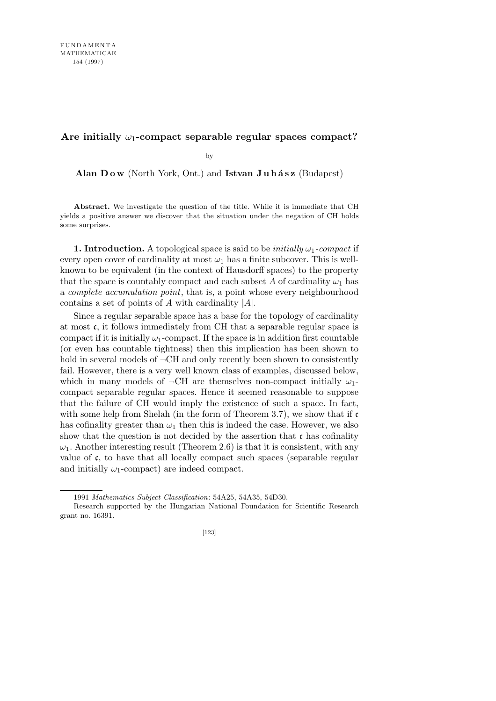## Are initially  $\omega_1$ -compact separable regular spaces compact?

by

Alan Dow (North York, Ont.) and Istvan Juhász (Budapest)

**Abstract.** We investigate the question of the title. While it is immediate that CH yields a positive answer we discover that the situation under the negation of CH holds some surprises.

**1. Introduction.** A topological space is said to be *initially*  $\omega_1$ -compact if every open cover of cardinality at most  $\omega_1$  has a finite subcover. This is wellknown to be equivalent (in the context of Hausdorff spaces) to the property that the space is countably compact and each subset A of cardinality  $\omega_1$  has a *complete accumulation point*, that is, a point whose every neighbourhood contains a set of points of *A* with cardinality *|A|*.

Since a regular separable space has a base for the topology of cardinality at most  $\mathfrak{c}$ , it follows immediately from CH that a separable regular space is compact if it is initially  $\omega_1$ -compact. If the space is in addition first countable (or even has countable tightness) then this implication has been shown to hold in several models of  $\neg$ CH and only recently been shown to consistently fail. However, there is a very well known class of examples, discussed below, which in many models of  $\neg$ CH are themselves non-compact initially  $\omega_1$ compact separable regular spaces. Hence it seemed reasonable to suppose that the failure of CH would imply the existence of such a space. In fact, with some help from Shelah (in the form of Theorem 3.7), we show that if  $\mathfrak c$ has cofinality greater than  $\omega_1$  then this is indeed the case. However, we also show that the question is not decided by the assertion that  $\mathfrak c$  has cofinality  $\omega_1$ . Another interesting result (Theorem 2.6) is that it is consistent, with any value of  $\mathfrak{c}$ , to have that all locally compact such spaces (separable regular and initially  $\omega_1$ -compact) are indeed compact.

<sup>1991</sup> *Mathematics Subject Classification*: 54A25, 54A35, 54D30.

Research supported by the Hungarian National Foundation for Scientific Research grant no. 16391.

<sup>[123]</sup>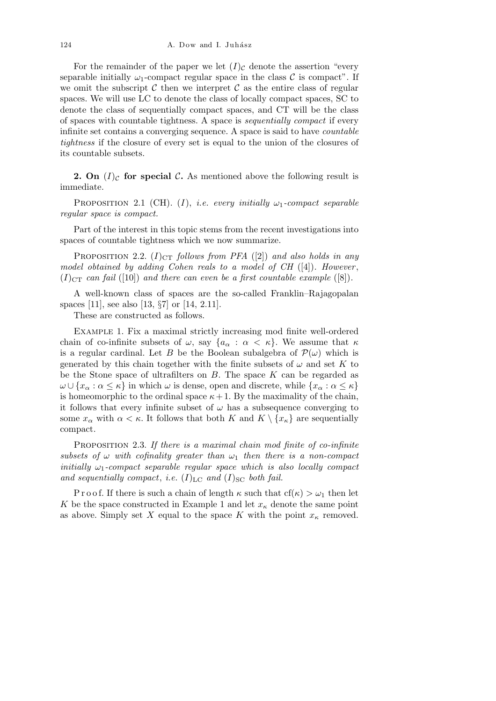For the remainder of the paper we let  $(I)_{\mathcal{C}}$  denote the assertion "every" separable initially  $\omega_1$ -compact regular space in the class  $\mathcal C$  is compact". If we omit the subscript  $\mathcal C$  then we interpret  $\mathcal C$  as the entire class of regular spaces. We will use LC to denote the class of locally compact spaces, SC to denote the class of sequentially compact spaces, and CT will be the class of spaces with countable tightness. A space is *sequentially compact* if every infinite set contains a converging sequence. A space is said to have *countable tightness* if the closure of every set is equal to the union of the closures of its countable subsets.

**2. On**  $(I)_{\mathcal{C}}$  for special  $\mathcal{C}$ **.** As mentioned above the following result is immediate.

PROPOSITION 2.1 (CH). (*I*), *i.e.* every initially  $\omega_1$ -compact separable *regular space is compact.*

Part of the interest in this topic stems from the recent investigations into spaces of countable tightness which we now summarize.

**PROPOSITION** 2.2.  $(I)_{CT}$  *follows from PFA* ([2]) *and also holds in any model obtained by adding Cohen reals to a model of CH* ([4])*. However* ,  $(I)_{CT}$  *can fail* ([10]) *and there can even be a first countable example* ([8]).

A well-known class of spaces are the so-called Franklin–Rajagopalan spaces [11], see also [13, *§*7] or [14, 2.11].

These are constructed as follows.

Example 1. Fix a maximal strictly increasing mod finite well-ordered chain of co-infinite subsets of  $\omega$ , say  $\{a_{\alpha} : \alpha < \kappa\}$ . We assume that  $\kappa$ is a regular cardinal. Let *B* be the Boolean subalgebra of  $\mathcal{P}(\omega)$  which is generated by this chain together with the finite subsets of  $\omega$  and set K to be the Stone space of ultrafilters on *B*. The space *K* can be regarded as  $\omega \cup \{x_\alpha : \alpha \leq \kappa\}$  in which  $\omega$  is dense, open and discrete, while  $\{x_\alpha : \alpha \leq \kappa\}$ is homeomorphic to the ordinal space  $\kappa + 1$ . By the maximality of the chain, it follows that every infinite subset of  $\omega$  has a subsequence converging to some  $x_{\alpha}$  with  $\alpha < \kappa$ . It follows that both  $K$  and  $K \setminus \{x_{\kappa}\}\)$  are sequentially compact.

Proposition 2.3. *If there is a maximal chain mod finite of co-infinite subsets of*  $\omega$  *with cofinality greater than*  $\omega_1$  *then there is a non-compact initially*  $\omega_1$ -compact separable regular space which is also locally compact and sequentially compact, *i.e.*  $(I)_{LC}$  and  $(I)_{SC}$  both fail.

P r o o f. If there is such a chain of length  $\kappa$  such that  $cf(\kappa) > \omega_1$  then let *K* be the space constructed in Example 1 and let  $x<sub>\kappa</sub>$  denote the same point as above. Simply set *X* equal to the space *K* with the point  $x_k$  removed.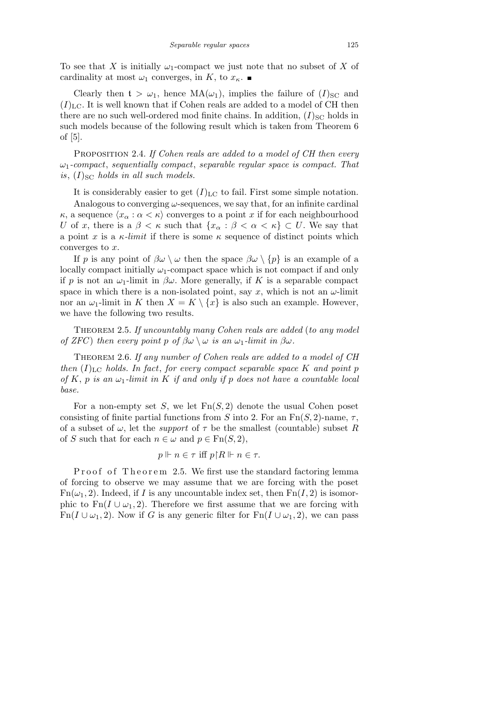To see that *X* is initially  $\omega_1$ -compact we just note that no subset of *X* of cardinality at most  $\omega_1$  converges, in *K*, to  $x_\kappa$ .

Clearly then  $t > \omega_1$ , hence  $MA(\omega_1)$ , implies the failure of  $(I)_{SC}$  and  $(I)_{\text{LC}}$ . It is well known that if Cohen reals are added to a model of CH then there are no such well-ordered mod finite chains. In addition,  $(I)_{SC}$  holds in such models because of the following result which is taken from Theorem 6 of [5].

Proposition 2.4. *If Cohen reals are added to a model of CH then every ω*1*-compact*, *sequentially compact*, *separable regular space is compact. That is*,  $(I)_{SC}$  *holds in all such models.* 

It is considerably easier to get  $(I)_{\text{LC}}$  to fail. First some simple notation.

Analogous to converging *ω*-sequences, we say that, for an infinite cardinal *κ*, a sequence  $\langle x_{\alpha} : \alpha \langle \kappa \rangle$  converges to a point *x* if for each neighbourhood *U* of *x*, there is a  $\beta < \kappa$  such that  $\{x_\alpha : \beta < \alpha < \kappa\} \subset U$ . We say that a point *x* is a  $\kappa$ *-limit* if there is some  $\kappa$  sequence of distinct points which converges to *x*.

If *p* is any point of  $\beta \omega \setminus \omega$  then the space  $\beta \omega \setminus \{p\}$  is an example of a locally compact initially  $\omega_1$ -compact space which is not compact if and only if *p* is not an  $\omega_1$ -limit in  $\beta\omega$ . More generally, if *K* is a separable compact space in which there is a non-isolated point, say  $x$ , which is not an  $\omega$ -limit nor an  $\omega_1$ -limit in *K* then  $X = K \setminus \{x\}$  is also such an example. However, we have the following two results.

Theorem 2.5. *If uncountably many Cohen reals are added* (*to any model of ZFC*) *then every point*  $p \text{ of } \beta\omega \setminus \omega$  *is an*  $\omega_1$ *-limit in*  $\beta\omega$ *.* 

Theorem 2.6. *If any number of Cohen reals are added to a model of CH then*  $(I)_{LC}$  *holds. In fact, for every compact separable space K and point p of*  $K$ ,  $p$  *is an*  $\omega_1$ *-limit in*  $K$  *if and only if*  $p$  *does not have a countable local base.*

For a non-empty set *S*, we let Fn(*S,* 2) denote the usual Cohen poset consisting of finite partial functions from *S* into 2. For an  $Fn(S, 2)$ -name,  $\tau$ , of a subset of  $\omega$ , let the *support* of  $\tau$  be the smallest (countable) subset R of *S* such that for each  $n \in \omega$  and  $p \in \text{Fn}(S, 2)$ ,

$$
p \Vdash n \in \tau \text{ iff } p \upharpoonright R \Vdash n \in \tau.
$$

P roof of Theorem 2.5. We first use the standard factoring lemma of forcing to observe we may assume that we are forcing with the poset  $Fn(\omega_1, 2)$ . Indeed, if *I* is any uncountable index set, then  $Fn(I, 2)$  is isomorphic to  $Fn(I \cup \omega_1, 2)$ . Therefore we first assume that we are forcing with Fn( $I \cup \omega_1, 2$ ). Now if G is any generic filter for Fn( $I \cup \omega_1, 2$ ), we can pass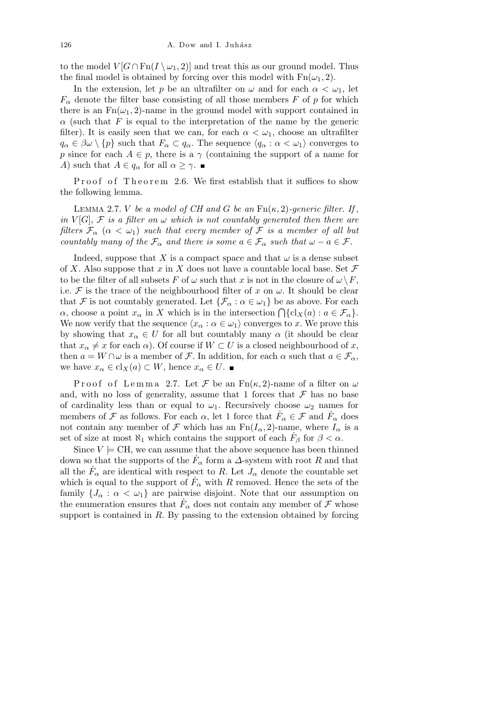to the model  $V[G \cap \text{Fn}(I \setminus \omega_1, 2)]$  and treat this as our ground model. Thus the final model is obtained by forcing over this model with  $Fn(\omega_1, 2)$ .

In the extension, let *p* be an ultrafilter on  $\omega$  and for each  $\alpha < \omega_1$ , let  $F_\alpha$  denote the filter base consisting of all those members *F* of *p* for which there is an  $Fn(\omega_1, 2)$ -name in the ground model with support contained in *α* (such that *F* is equal to the interpretation of the name by the generic filter). It is easily seen that we can, for each  $\alpha < \omega_1$ , choose an ultrafilter  $q_{\alpha} \in \beta \omega \setminus \{p\}$  such that  $F_{\alpha} \subset q_{\alpha}$ . The sequence  $\langle q_{\alpha} : \alpha < \omega_1 \rangle$  converges to *p* since for each  $A \in p$ , there is a *γ* (containing the support of a name for *A*) such that  $A \in q_\alpha$  for all  $\alpha \geq \gamma$ .

Proof of Theorem 2.6. We first establish that it suffices to show the following lemma.

LEMMA 2.7. *V be a model of CH and G be an*  $Fn(\kappa, 2)$ *-generic filter. If*, *in*  $V[G]$ ,  $F$  *is a filter on*  $\omega$  *which is not countably generated then there are filters*  $\mathcal{F}_{\alpha}$  ( $\alpha < \omega_1$ ) *such that every member of*  $\mathcal{F}$  *is a member of all but countably many of the*  $\mathcal{F}_{\alpha}$  *and there is some*  $a \in \mathcal{F}_{\alpha}$  *such that*  $\omega - a \in \mathcal{F}$ *.* 

Indeed, suppose that *X* is a compact space and that  $\omega$  is a dense subset of *X*. Also suppose that *x* in *X* does not have a countable local base. Set *F* to be the filter of all subsets *F* of  $\omega$  such that *x* is not in the closure of  $\omega \backslash F$ , i.e.  $\mathcal F$  is the trace of the neighbourhood filter of  $x$  on  $\omega$ . It should be clear that *F* is not countably generated. Let  $\{\mathcal{F}_{\alpha} : \alpha \in \omega_1\}$  be as above. For each *α*, choose a point  $x_{\alpha}$  in *X* which is in the intersection  $\bigcap \{cl_X(a) : a \in \mathcal{F}_{\alpha}\}\.$ We now verify that the sequence  $\langle x_\alpha : \alpha \in \omega_1 \rangle$  converges to *x*. We prove this by showing that  $x_{\alpha} \in U$  for all but countably many  $\alpha$  (it should be clear that  $x_{\alpha} \neq x$  for each  $\alpha$ ). Of course if  $W \subset U$  is a closed neighbourhood of *x*, then  $a = W \cap \omega$  is a member of *F*. In addition, for each  $\alpha$  such that  $a \in \mathcal{F}_{\alpha}$ , we have  $x_{\alpha} \in \text{cl}_X(a) \subset W$ , hence  $x_{\alpha} \in U$ .

Proof of Lemma 2.7. Let  $\mathcal F$  be an  $Fn(\kappa, 2)$ -name of a filter on  $\omega$ and, with no loss of generality, assume that 1 forces that  $\mathcal F$  has no base of cardinality less than or equal to  $\omega_1$ . Recursively choose  $\omega_2$  names for members of  $\mathcal{F}$  as follows. For each  $\alpha$ , let 1 force that  $\dot{F}_{\alpha} \in \mathcal{F}$  and  $\dot{F}_{\alpha}$  does not contain any member of *F* which has an  $Fn(I_{\alpha}, 2)$ -name, where  $I_{\alpha}$  is a set of size at most  $\aleph_1$  which contains the support of each  $\dot{F}_{\beta}$  for  $\beta < \alpha$ .

Since  $V \models \text{CH}$ , we can assume that the above sequence has been thinned down so that the supports of the  $\dot{F}_{\alpha}$  form a  $\Delta$ -system with root *R* and that all the  $\dot{F}_{\alpha}$  are identical with respect to *R*. Let  $J_{\alpha}$  denote the countable set which is equal to the support of  $\hat{F}_{\alpha}$  with *R* removed. Hence the sets of the family  ${J_\alpha : \alpha < \omega_1}$  are pairwise disjoint. Note that our assumption on the enumeration ensures that  $\dot{F}_{\alpha}$  does not contain any member of  $\mathcal{F}$  whose support is contained in *R*. By passing to the extension obtained by forcing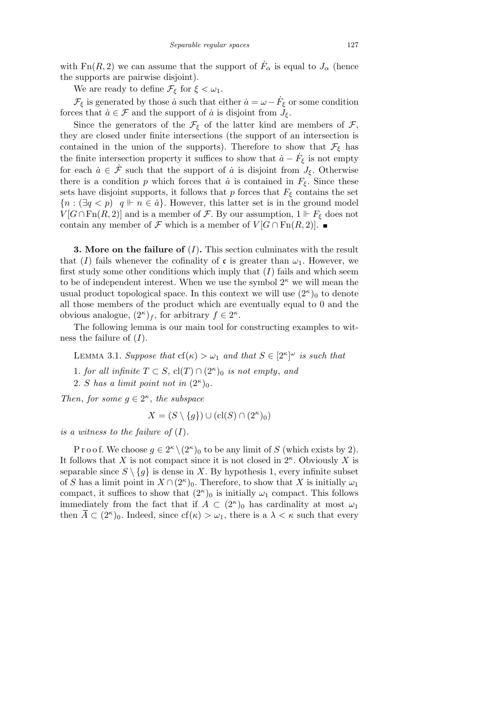with  $\text{Fn}(R, 2)$  we can assume that the support of  $\dot{F}_{\alpha}$  is equal to  $J_{\alpha}$  (hence the supports are pairwise disjoint).

We are ready to define  $\mathcal{F}_{\xi}$  for  $\xi < \omega_1$ .

 $\mathcal{F}_{\xi}$  is generated by those *a* such that either  $\dot{a} = \omega - \dot{F}_{\xi}$  or some condition forces that  $\dot{a} \in \mathcal{F}$  and the support of  $\dot{a}$  is disjoint from  $J_{\xi}$ .

Since the generators of the  $\mathcal{F}_{\xi}$  of the latter kind are members of  $\mathcal{F}_{\xi}$ , they are closed under finite intersections (the support of an intersection is contained in the union of the supports). Therefore to show that  $\mathcal{F}_{\xi}$  has the finite intersection property it suffices to show that  $\dot{a} - \dot{F}_{\xi}$  is not empty for each  $\dot{a} \in \dot{\mathcal{F}}$  such that the support of  $\dot{a}$  is disjoint from  $J_{\xi}$ . Otherwise there is a condition *p* which forces that  $\dot{a}$  is contained in  $F_{\xi}$ . Since these sets have disjoint supports, it follows that  $p$  forces that  $F_{\xi}$  contains the set  ${n : (\exists q < p) \mid q \Vdash n \in \dot{a}}$ . However, this latter set is in the ground model  $V[G \cap \text{Fn}(R, 2)]$  and is a member of *F*. By our assumption,  $1 \Vdash F_{\xi}$  does not contain any member of *F* which is a member of  $V[G \cap \text{Fn}(R, 2)]$ .

**3. More on the failure of** (*I*)**.** This section culminates with the result that (*I*) fails whenever the cofinality of c is greater than  $\omega_1$ . However, we first study some other conditions which imply that  $(I)$  fails and which seem to be of independent interest. When we use the symbol 2*<sup>κ</sup>* we will mean the usual product topological space. In this context we will use  $(2^{\kappa})_0$  to denote all those members of the product which are eventually equal to 0 and the obvious analogue,  $(2^{\kappa})_f$ , for arbitrary  $f \in 2^{\kappa}$ .

The following lemma is our main tool for constructing examples to witness the failure of (*I*).

LEMMA 3.1. *Suppose that*  $cf(\kappa) > \omega_1$  *and that*  $S \in [2^{\kappa}]^{\omega}$  *is such that* 

1*. for all infinite*  $T \subset S$ ,  $cl(T) \cap (2^{\kappa})_0$  *is not empty*, *and* 

2. *S* has a limit point not in  $(2^{\kappa})_0$ .

*Then, for some*  $g \in 2^{\kappa}$ *, the subspace* 

$$
X = (S \setminus \{g\}) \cup (cl(S) \cap (2^{\kappa})_0)
$$

*is a witness to the failure of*  $(I)$ *.* 

P r o o f. We choose  $g \in 2^{\kappa} \setminus (2^{\kappa})_0$  to be any limit of *S* (which exists by 2). It follows that *X* is not compact since it is not closed in 2*<sup>κ</sup>* . Obviously *X* is separable since  $S \setminus \{g\}$  is dense in *X*. By hypothesis 1, every infinite subset of *S* has a limit point in  $X \cap (2^{\kappa})_0$ . Therefore, to show that *X* is initially  $\omega_1$ compact, it suffices to show that  $(2^{\kappa})_0$  is initially  $\omega_1$  compact. This follows immediately from the fact that if  $\overline{A} \subset (2^{\kappa})_0$  has cardinality at most  $\omega_1$ then  $\overline{A} \subset (2^{\kappa})_0$ . Indeed, since  $cf(\kappa) > \omega_1$ , there is a  $\lambda < \kappa$  such that every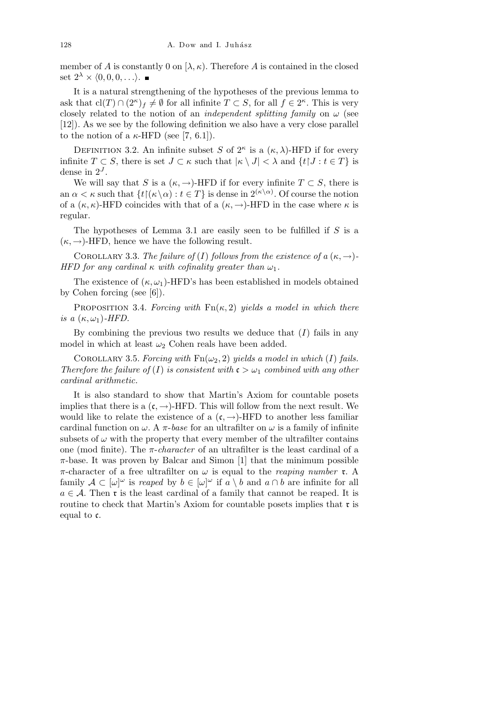member of *A* is constantly 0 on  $[\lambda, \kappa)$ . Therefore *A* is contained in the closed set  $2^{\lambda}$  ×  $\langle 0, 0, 0, \ldots \rangle$ . ■

It is a natural strengthening of the hypotheses of the previous lemma to ask that  $\text{cl}(T) \cap (2^{\kappa})_f \neq \emptyset$  for all infinite  $T \subset S$ , for all  $f \in 2^{\kappa}$ . This is very closely related to the notion of an *independent splitting family* on  $\omega$  (see [12]). As we see by the following definition we also have a very close parallel to the notion of a  $\kappa$ -HFD (see [7, 6.1]).

DEFINITION 3.2. An infinite subset *S* of  $2^k$  is a  $(\kappa, \lambda)$ -HFD if for every infinite  $T \subset S$ , there is set  $J \subset \kappa$  such that  $|\kappa \setminus J| < \lambda$  and  $\{t | J : t \in T\}$  is dense in  $2^J$ .

We will say that *S* is a  $(\kappa, \rightarrow)$ -HFD if for every infinite  $T \subset S$ , there is an  $\alpha < \kappa$  such that  $\{t \mid (\kappa \setminus \alpha) : t \in T\}$  is dense in  $2^{(\kappa \setminus \alpha)}$ . Of course the notion of a  $(\kappa, \kappa)$ -HFD coincides with that of a  $(\kappa, \rightarrow)$ -HFD in the case where  $\kappa$  is regular.

The hypotheses of Lemma 3.1 are easily seen to be fulfilled if *S* is a  $(\kappa, \rightarrow)$ -HFD, hence we have the following result.

COROLLARY 3.3. *The failure of* (*I*) *follows from the existence of*  $a(\kappa, \rightarrow)$ -*HFD for any cardinal*  $\kappa$  *with cofinality greater than*  $\omega_1$ *.* 

The existence of  $(\kappa, \omega_1)$ -HFD's has been established in models obtained by Cohen forcing (see [6]).

Proposition 3.4. *Forcing with* Fn(*κ,* 2) *yields a model in which there is a*  $(\kappa, \omega_1)$ -HFD.

By combining the previous two results we deduce that (*I*) fails in any model in which at least  $\omega_2$  Cohen reals have been added.

COROLLARY 3.5. *Forcing with*  $\text{Fn}(\omega_2, 2)$  *yields a model in which* (*I*) *fails. Therefore the failure of* (*I*) *is consistent with*  $c > \omega_1$  *combined with any other cardinal arithmetic.*

It is also standard to show that Martin's Axiom for countable posets implies that there is a  $(c, \rightarrow)$ -HFD. This will follow from the next result. We would like to relate the existence of a  $(c, \rightarrow)$ -HFD to another less familiar cardinal function on  $\omega$ . A  $\pi$ -base for an ultrafilter on  $\omega$  is a family of infinite subsets of  $\omega$  with the property that every member of the ultrafilter contains one (mod finite). The *π*-*character* of an ultrafilter is the least cardinal of a  $\pi$ -base. It was proven by Balcar and Simon [1] that the minimum possible *π*-character of a free ultrafilter on *ω* is equal to the *reaping number* r. A family  $A \subset [\omega]^{\omega}$  is *reaped* by  $b \in [\omega]^{\omega}$  if  $a \setminus b$  and  $a \cap b$  are infinite for all  $a \in \mathcal{A}$ . Then **r** is the least cardinal of a family that cannot be reaped. It is routine to check that Martin's Axiom for countable posets implies that  $\mathfrak{r}$  is equal to c.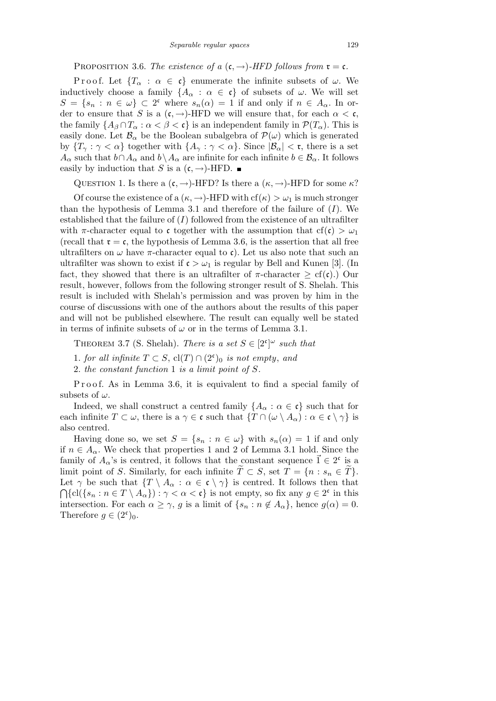PROPOSITION 3.6. *The existence of a*  $(c, \rightarrow)$ *-HFD follows from*  $\mathfrak{r} = c$ *.* 

Proof. Let  ${T_\alpha : \alpha \in \mathfrak{c}}$  enumerate the infinite subsets of  $\omega$ . We inductively choose a family  ${A_{\alpha} : \alpha \in \mathfrak{c}}$  of subsets of  $\omega$ . We will set  $S = \{s_n : n \in \omega\} \subset 2^c$  where  $s_n(\alpha) = 1$  if and only if  $n \in A_\alpha$ . In order to ensure that *S* is a  $(c, \rightarrow)$ -HFD we will ensure that, for each  $\alpha < c$ , the family  ${A_\beta \cap T_\alpha : \alpha < \beta < \mathfrak{c}}$  is an independent family in  $\mathcal{P}(T_\alpha)$ . This is easily done. Let  $\mathcal{B}_{\alpha}$  be the Boolean subalgebra of  $\mathcal{P}(\omega)$  which is generated by  ${T_\gamma : \gamma < \alpha}$  together with  ${A_\gamma : \gamma < \alpha}$ . Since  $|\mathcal{B}_\alpha| < \mathfrak{r}$ , there is a set *A*<sup>α</sup> such that  $b \cap A_\alpha$  and  $b \setminus A_\alpha$  are infinite for each infinite  $b \in \mathcal{B}_\alpha$ . It follows easily by induction that *S* is a  $(c, \rightarrow)$ -HFD.

QUESTION 1. Is there a  $(\mathfrak{c}, \rightarrow)$ -HFD? Is there a  $(\kappa, \rightarrow)$ -HFD for some  $\kappa$ ?

Of course the existence of a  $(\kappa, \rightarrow)$ -HFD with  $cf(\kappa) > \omega_1$  is much stronger than the hypothesis of Lemma 3.1 and therefore of the failure of  $(I)$ . We established that the failure of  $(I)$  followed from the existence of an ultrafilter with  $\pi$ -character equal to c together with the assumption that cf(c)  $> \omega_1$ (recall that  $\mathfrak{r} = \mathfrak{c}$ , the hypothesis of Lemma 3.6, is the assertion that all free ultrafilters on  $\omega$  have  $\pi$ -character equal to c). Let us also note that such an ultrafilter was shown to exist if  $\mathfrak{c} > \omega_1$  is regular by Bell and Kunen [3]. (In fact, they showed that there is an ultrafilter of  $\pi$ -character  $\geq$  cf(c).) Our result, however, follows from the following stronger result of S. Shelah. This result is included with Shelah's permission and was proven by him in the course of discussions with one of the authors about the results of this paper and will not be published elsewhere. The result can equally well be stated in terms of infinite subsets of  $\omega$  or in the terms of Lemma 3.1.

THEOREM 3.7 (S. Shelah). *There is a set*  $S \in [2^c]^{\omega}$  *such that* 

- 1*. for all infinite*  $T \subset S$ ,  $cl(T) \cap (2^c)$  *is not empty, and*
- 2*. the constant function* 1 *is a limit point of S.*

Proof. As in Lemma 3.6, it is equivalent to find a special family of subsets of *ω*.

Indeed, we shall construct a centred family  ${A_\alpha : \alpha \in \mathfrak{c}}$  such that for each infinite  $T \subset \omega$ , there is a  $\gamma \in \mathfrak{c}$  such that  $\{T \cap (\omega \setminus A_{\alpha}) : \alpha \in \mathfrak{c} \setminus \gamma\}$  is also centred.

Having done so, we set  $S = \{s_n : n \in \omega\}$  with  $s_n(\alpha) = 1$  if and only if  $n \in A_\alpha$ . We check that properties 1 and 2 of Lemma 3.1 hold. Since the family of  $A_{\alpha}$ 's is centred, it follows that the constant sequence  $\vec{1} \in 2^c$  is a limit point of *S*. Similarly, for each infinite  $\widetilde{T} \subset S$ , set  $\widetilde{T} = \{n : s_n \in \widetilde{T}\}.$ Let  $\gamma$  be such that  $\{T \setminus A_\alpha : \alpha \in \mathfrak{c} \setminus \gamma\}$  is centred. It follows then that  ${cl}({s_n : n \in T \setminus A_\alpha}) : \gamma < \alpha < \mathfrak{c}$  is not empty, so fix any  $g \in 2^{\mathfrak{c}}$  in this intersection. For each  $\alpha \geq \gamma$ , *g* is a limit of  $\{s_n : n \notin A_\alpha\}$ , hence  $g(\alpha) = 0$ . Therefore  $g \in (2^c)_0$ .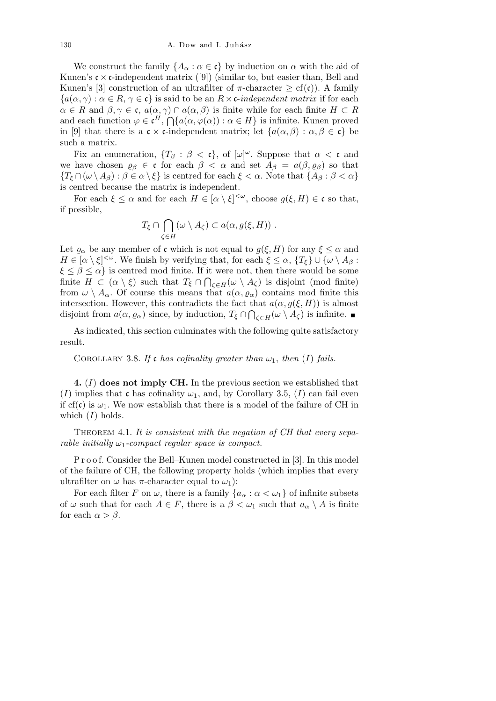We construct the family  ${A_\alpha : \alpha \in \mathfrak{c}}$  by induction on  $\alpha$  with the aid of Kunen's  $c \times c$ -independent matrix ([9]) (similar to, but easier than, Bell and Kunen's [3] construction of an ultrafilter of  $\pi$ -character  $\geq$  cf(c)). A family  ${a(\alpha, \gamma) : \alpha \in R, \gamma \in \mathfrak{c}}$  is said to be an  $R \times \mathfrak{c}\text{-}independent matrix}$  if for each  $\alpha \in R$  and  $\beta, \gamma \in \mathfrak{c}, a(\alpha, \gamma) \cap a(\alpha, \beta)$  is finite while for each finite  $H \subset R$ and each function  $\varphi \in \mathfrak{c}^H$ ,  $\bigcap \{a(\alpha, \varphi(\alpha)) : \alpha \in H\}$  is infinite. Kunen proved in [9] that there is a  $\mathfrak{c} \times \mathfrak{c}$ -independent matrix; let  $\{a(\alpha,\beta) : \alpha,\beta \in \mathfrak{c}\}\)$ such a matrix.

Fix an enumeration,  ${T_\beta : \beta < \mathfrak{c}}$ , of  $[\omega]^\omega$ . Suppose that  $\alpha < \mathfrak{c}$  and we have chosen  $\varrho_{\beta} \in \mathfrak{c}$  for each  $\beta < \alpha$  and set  $A_{\beta} = a(\beta, \varrho_{\beta})$  so that  ${T_{\xi} \cap (\omega \setminus A_{\beta}) : \beta \in \alpha \setminus \xi}$  is centred for each  $\xi < \alpha$ . Note that  ${A_{\beta} : \beta < \alpha}$ is centred because the matrix is independent.

For each  $\xi \leq \alpha$  and for each  $H \in [\alpha \setminus \xi]^{<\omega}$ , choose  $g(\xi, H) \in \mathfrak{c}$  so that, if possible,  $\sim$ 

$$
T_{\xi} \cap \bigcap_{\zeta \in H} (\omega \setminus A_{\zeta}) \subset a(\alpha, g(\xi, H)) \ .
$$

Let  $\varrho_{\alpha}$  be any member of **c** which is not equal to  $g(\xi, H)$  for any  $\xi \leq \alpha$  and *H*  $\in$  [ $\alpha \setminus \xi$ ]<sup>< $\omega$ </sup>. We finish by verifying that, for each  $\xi \leq \alpha$ , { $T_{\xi}$ } ∪ { $\omega \setminus A_{\beta}$  :  $\xi \leq \beta \leq \alpha$ } is centred mod finite. If it were not, then there would be some finite  $H \subset (\alpha \setminus \xi)$  such that  $T_{\xi} \cap \bigcap_{\zeta \in H} (\omega \setminus A_{\zeta})$  is disjoint (mod finite) from  $\omega \setminus A_\alpha$ . Of course this means that  $a(\alpha, \varrho_\alpha)$  contains mod finite this intersection. However, this contradicts the fact that  $a(\alpha, g(\xi, H))$  is almost disjoint from  $a(\alpha, \varrho_\alpha)$  since, by induction,  $T_\xi \cap \bigcap_{\zeta \in H} (\omega \setminus A_\zeta)$  is infinite.

As indicated, this section culminates with the following quite satisfactory result.

COROLLARY 3.8. If **c** has cofinality greater than  $\omega_1$ , then (I) fails.

**4.** (*I*) **does not imply CH.** In the previous section we established that (*I*) implies that c has cofinality  $\omega_1$ , and, by Corollary 3.5, (*I*) can fail even if  $cf(c)$  is  $\omega_1$ . We now establish that there is a model of the failure of CH in which (*I*) holds.

THEOREM 4.1. It is consistent with the negation of CH that every sepa*rable initially*  $\omega_1$ -compact regular space is compact.

P r o o f. Consider the Bell–Kunen model constructed in [3]. In this model of the failure of CH, the following property holds (which implies that every ultrafilter on  $\omega$  has  $\pi$ -character equal to  $\omega_1$ ):

For each filter *F* on  $\omega$ , there is a family  $\{a_{\alpha} : \alpha < \omega_1\}$  of infinite subsets of  $\omega$  such that for each  $A \in F$ , there is a  $\beta < \omega_1$  such that  $a_\alpha \setminus A$  is finite for each  $\alpha > \beta$ .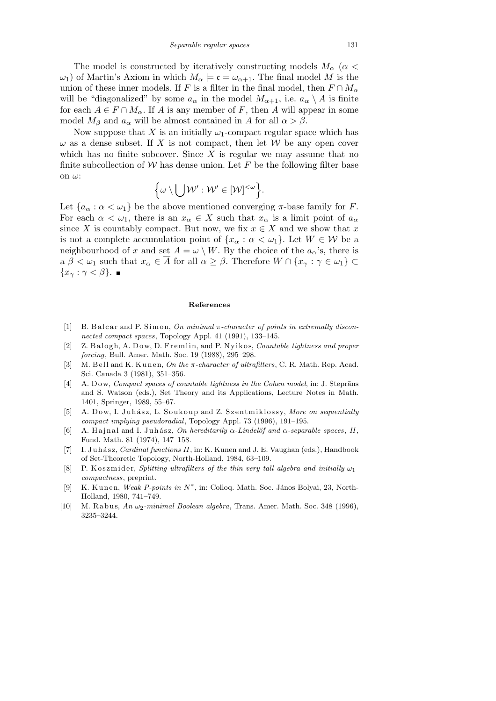The model is constructed by iteratively constructing models  $M_{\alpha}$  ( $\alpha$  < *ω*<sub>1</sub>) of Martin's Axiom in which  $M_α$   $\models$  *c* =  $ω_{α+1}$ . The final model *M* is the union of these inner models. If *F* is a filter in the final model, then  $F \cap M_{\alpha}$ will be "diagonalized" by some  $a_{\alpha}$  in the model  $M_{\alpha+1}$ , i.e.  $a_{\alpha} \setminus A$  is finite for each  $A \in F \cap M_\alpha$ . If *A* is any member of *F*, then *A* will appear in some model  $M_\beta$  and  $a_\alpha$  will be almost contained in *A* for all  $\alpha > \beta$ .

Now suppose that *X* is an initially  $\omega_1$ -compact regular space which has  $\omega$  as a dense subset. If *X* is not compact, then let *W* be any open cover which has no finite subcover. Since *X* is regular we may assume that no finite subcollection of  $W$  has dense union. Let  $F$  be the following filter base on *ω*: n

$$
\Big\{\omega\setminus \bigcup \mathcal{W}': \mathcal{W}'\in [\mathcal{W}]^{<\omega}\Big\}.
$$

Let  ${a_{\alpha} : \alpha < \omega_1}$  be the above mentioned converging  $\pi$ -base family for *F*. For each  $\alpha < \omega_1$ , there is an  $x_\alpha \in X$  such that  $x_\alpha$  is a limit point of  $a_\alpha$ since *X* is countably compact. But now, we fix  $x \in X$  and we show that *x* is not a complete accumulation point of  $\{x_\alpha : \alpha < \omega_1\}$ . Let  $W \in \mathcal{W}$  be a neighbourhood of *x* and set  $A = \omega \setminus W$ . By the choice of the  $a_{\alpha}$ 's, there is  $a \beta < \omega_1$  such that  $x_\alpha \in \overline{A}$  for all  $\alpha \geq \beta$ . Therefore  $W \cap \{x_\gamma : \gamma \in \omega_1\} \subset$ *{x<sup>γ</sup>* : *γ < β}*.

## **References**

- [1] B. Balcar and P. Simon, *On minimal* π-character of points in extremally discon*nected compact spaces*, Topology Appl. 41 (1991), 133–145.
- [2] Z. Balogh, A. Dow, D. Fremlin, and P. Nyikos, *Countable tightness and proper forcing*, Bull. Amer. Math. Soc. 19 (1988), 295–298.
- [3] M. Bell and K. Kunen. On the π-character of ultrafilters, C. R. Math. Rep. Acad. Sci. Canada 3 (1981), 351–356.
- [4] A. Dow, *Compact spaces of countable tightness in the Cohen model*, in: J. Steprāns and S. Watson (eds.), Set Theory and its Applications, Lecture Notes in Math. 1401, Springer, 1989, 55–67.
- [5] A. Dow, I. Juhász, L. Soukoup and Z. Szentmiklossy, More on sequentially *compact implying pseudoradial*, Topology Appl. 73 (1996), 191–195.
- [6] A. Hajnal and I. Juhász, *On hereditarily*  $\alpha$ -*Lindelof and*  $\alpha$ -separable spaces, *II*, Fund. Math. 81 (1974), 147–158.
- [7] I. Juhász, *Cardinal functions II*, in: K. Kunen and J. E. Vaughan (eds.), Handbook of Set-Theoretic Topology, North-Holland, 1984, 63–109.
- [8] P. K os zmider, *Splitting ultrafilters of the thin-very tall algebra and initially*  $ω<sub>1</sub>$ *compactness*, preprint.
- [9] K. Kunen, *Weak P-points in*  $N^*$ , in: Colloq. Math. Soc. János Bolyai, 23, North-Holland, 1980, 741–749.
- [10] M. R a b u s, *An ω*2*-minimal Boolean algebra*, Trans. Amer. Math. Soc. 348 (1996), 3235–3244.